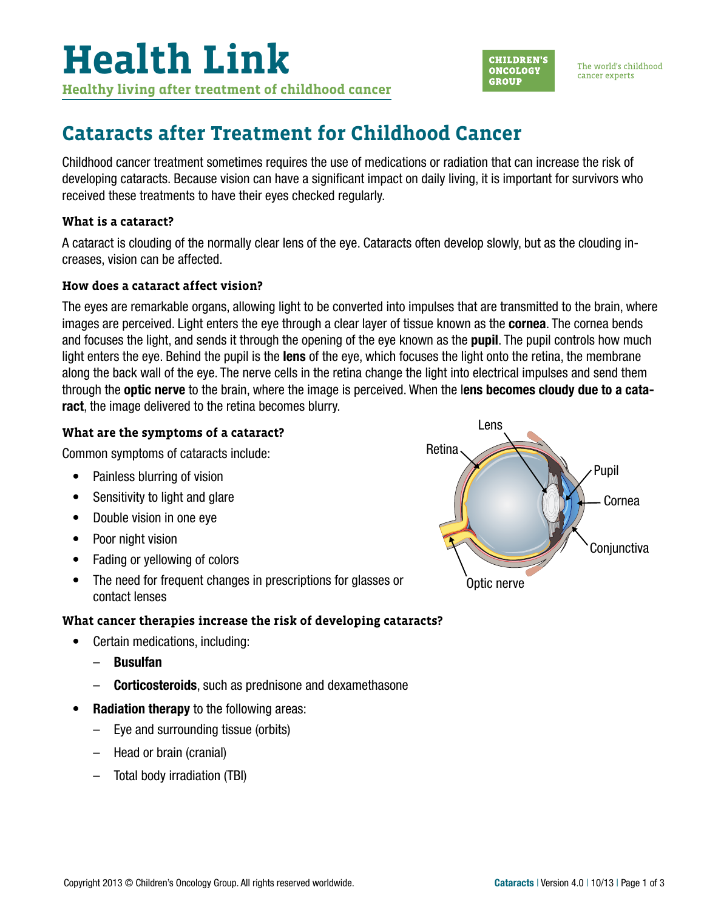

The world's childhood cancer experts

## **Cataracts after Treatment for Childhood Cancer**

Childhood cancer treatment sometimes requires the use of medications or radiation that can increase the risk of developing cataracts. Because vision can have a significant impact on daily living, it is important for survivors who received these treatments to have their eyes checked regularly.

#### **What is a cataract?**

A cataract is clouding of the normally clear lens of the eye. Cataracts often develop slowly, but as the clouding increases, vision can be affected.

#### **How does a cataract affect vision?**

The eyes are remarkable organs, allowing light to be converted into impulses that are transmitted to the brain, where images are perceived. Light enters the eve through a clear layer of tissue known as the **cornea**. The cornea bends and focuses the light, and sends it through the opening of the eye known as the **pupil**. The pupil controls how much light enters the eye. Behind the pupil is the lens of the eye, which focuses the light onto the retina, the membrane along the back wall of the eye. The nerve cells in the retina change the light into electrical impulses and send them through the optic nerve to the brain, where the image is perceived. When the lens becomes cloudy due to a cataract, the image delivered to the retina becomes blurry.

#### **What are the symptoms of a cataract?**

Common symptoms of cataracts include:

- Painless blurring of vision
- Sensitivity to light and glare
- Double vision in one eye
- Poor night vision
- Fading or yellowing of colors
- The need for frequent changes in prescriptions for glasses or contact lenses

### **What cancer therapies increase the risk of developing cataracts?**

- Certain medications, including:
	- Busulfan
	- **Corticosteroids**, such as prednisone and dexamethasone
- Radiation therapy to the following areas:
	- Eye and surrounding tissue (orbits)
	- Head or brain (cranial)
	- Total body irradiation (TBI)

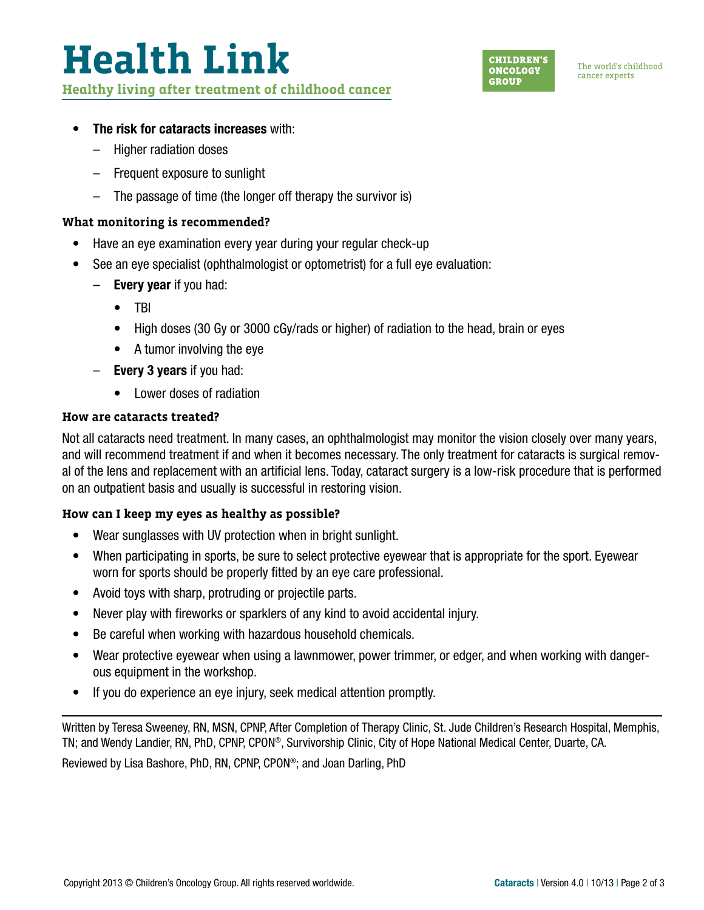# **Health Link**

**Healthy living after treatment of childhood cancer**



The world's childhood cancer experts

#### • The risk for cataracts increases with:

- Higher radiation doses
- Frequent exposure to sunlight
- The passage of time (the longer off therapy the survivor is)

#### **What monitoring is recommended?**

- Have an eye examination every year during your regular check-up
- See an eye specialist (ophthalmologist or optometrist) for a full eye evaluation:
	- $-$  Every year if you had:
		- TBI
		- High doses (30 Gy or 3000 cGy/rads or higher) of radiation to the head, brain or eyes
		- A tumor involving the eye
	- $-$  Every 3 years if you had:
		- Lower doses of radiation

#### **How are cataracts treated?**

Not all cataracts need treatment. In many cases, an ophthalmologist may monitor the vision closely over many years, and will recommend treatment if and when it becomes necessary. The only treatment for cataracts is surgical removal of the lens and replacement with an artificial lens. Today, cataract surgery is a low-risk procedure that is performed on an outpatient basis and usually is successful in restoring vision.

#### **How can I keep my eyes as healthy as possible?**

- Wear sunglasses with UV protection when in bright sunlight.
- When participating in sports, be sure to select protective eyewear that is appropriate for the sport. Eyewear worn for sports should be properly fitted by an eye care professional.
- Avoid toys with sharp, protruding or projectile parts.
- Never play with fireworks or sparklers of any kind to avoid accidental injury.
- Be careful when working with hazardous household chemicals.
- Wear protective eyewear when using a lawnmower, power trimmer, or edger, and when working with dangerous equipment in the workshop.
- If you do experience an eye injury, seek medical attention promptly.

Written by Teresa Sweeney, RN, MSN, CPNP, After Completion of Therapy Clinic, St. Jude Children's Research Hospital, Memphis, TN; and Wendy Landier, RN, PhD, CPNP, CPON®, Survivorship Clinic, City of Hope National Medical Center, Duarte, CA.

Reviewed by Lisa Bashore, PhD, RN, CPNP, CPON®; and Joan Darling, PhD